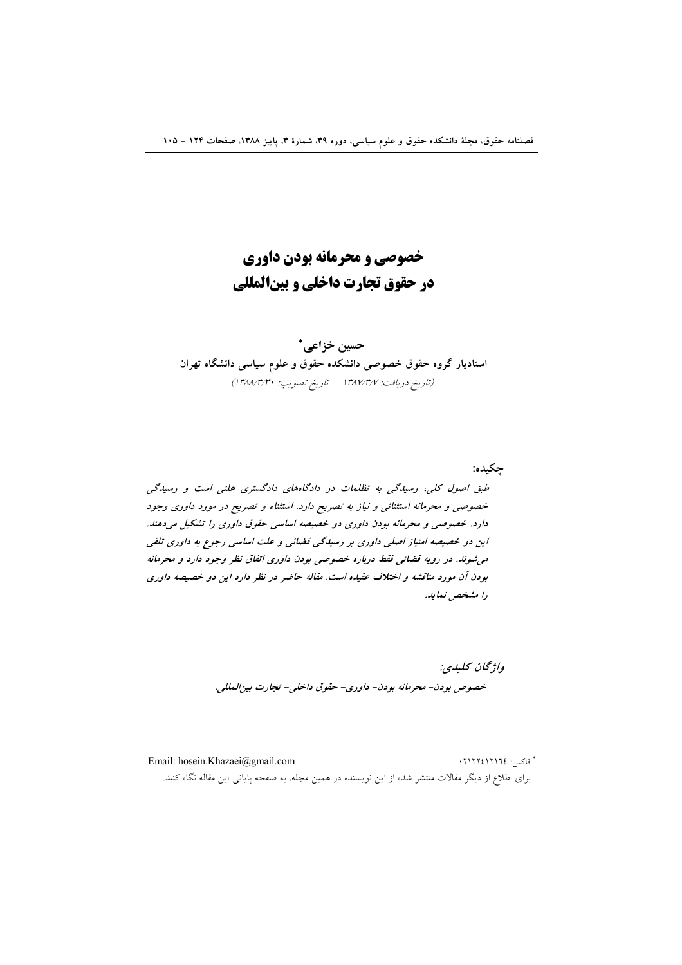# خصوصي و محرمانه بودن داوري در حقوق تجارت داخلی و بینالمللی

حسين خزاعي. \* استادیار گروه حقوق خصوصی دانشکده حقوق و علوم سیاسی دانشگاه تهران (تاريخ دريافت: ١٣٨٧/٣/٧ - تاريخ تصويب: ١٣٨٨/٣/٣٠)

چکيده: طبق اصول کلی، رسیدگی به تظلمات در دادگاههای دادگستری علنی است و رسیدگی خصوصی و محرمانه استثنائی و نیاز به تصریح دارد. استثناء و تصریح در مورد داوری وجود دارد. خصوصی و محرمانه بودن داوری دو خصیصه اساسی حقوق داوری را تشکیل میدهند. این دو خصیصه امتیاز اصلی داوری بر رسیدگی قضائی و علت اساسی رجوع به داوری تلقی می شوند. در رویه قضائی فقط درباره خصوصی بودن داوری اتفاق نظر وجود دارد و محرمانه بودن آن مورد مناقشه و اختلاف عقیده است. مقاله حاضر در نظر دارد این دو خصیصه داوری را مشخص نماید.

> واژىچان كىلىدى: خصوص بودن- محرمانه بودن- داوري- حقوق داخلي- تجارت بين المللي.

\* فاكس: ١٢١٢١٦٤١٣٠ Email: hosein.Khazaei@gmail.com برای اطلاع از دیگر مقالات منتشر شده از این نویسنده در همین مجله، به صفحه پایانی این مقاله نگاه کنید.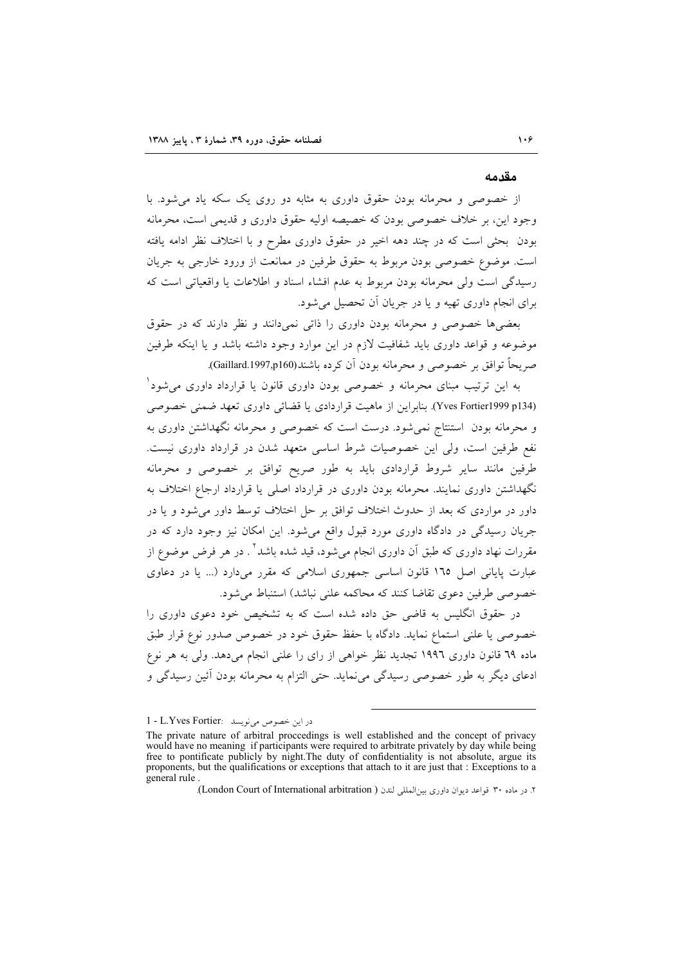#### مقدمه

از خصوصی و محرمانه بودن حقوق داوری به مثابه دو روی یک سکه یاد می شود. با وجود این، بر خلاف خصوصی بودن که خصیصه اولیه حقوق داوری و قدیمی است، محرمانه بودن بحثی است که در چند دهه اخیر در حقوق داوری مطرح و با اختلاف نظر ادامه یافته است. موضوع خصوصی بودن مربوط به حقوق طرفین در ممانعت از ورود خارجی به جریان رسیدگی است ولی محرمانه بودن مربوط به عدم افشاء اسناد و اطلاعات یا واقعیاتی است که برای انجام داوری تهیه و یا در جریان آن تحصیل می شود.

بعضی ها خصوصی و محرمانه بودن داوری را ذاتی نمی دانند و نظر دارند که در حقوق موضوعه و قواعد داوری باید شفافیت لازم در این موارد وجود داشته باشد و یا اینکه طرفین صريحاً توافق بر خصوصي و محرمانه بودن أن كرده باشند(Gaillard.1997,p160).

به این ترتیب مبنای محرمانه و خصوصی بودن داوری قانون یا قرارداد داوری می شود ٔ (Yves Fortier1999 p134). بنابراین از ماهیت قراردادی یا قضائی داوری تعهد ضمنی خصوصی و محرمانه بودن استنتاج نمی شود. درست است که خصوصی و محرمانه نگهداشتن داوری به نفع طرفین است، ولی این خصوصیات شرط اساسی متعهد شدن در قرارداد داوری نیست. طرفین مانند سایر شروط قراردادی باید به طور صریح توافق بر خصوصی و محرمانه نگهداشتن داوری نمایند. محرمانه بودن داوری در قرارداد اصلی یا قرارداد ارجاع اختلاف به داور در مواردی که بعد از حدوث اختلاف توافق بر حل اختلاف توسط داور می شود و یا در جریان رسیدگی در دادگاه داوری مورد قبول واقع میشود. این امکان نیز وجود دارد که در مقررات نهاد داوری که طبق اَن داوری انجام میشود، قید شده باشد<sup>۲</sup> . در هر فرض موضوع از عبارت پایانی اصل ١٦٥ قانون اساسی جمهوری اسلامی که مقرر میدارد (... یا در دعاوی خصوصی طرفین دعوی تقاضا کنند که محاکمه علنی نباشد) استنباط می شود.

در حقوق انگلیس به قاضی حق داده شده است که به تشخیص خود دعوی داوری را خصوصی یا علنی استماع نماید. دادگاه با حفظ حقوق خود در خصوص صدور نوع قرار طبق ماده ٦٩ قانون داوري ١٩٩٦ تجديد نظر خواهي از راي را علني انجام مي دهد. ولي به هر نوع ادعای دیگر به طور خصوصی رسیدگی می نماید. حتی التزام به محرمانه بودن آئین رسیدگی و

در این خصوص مینویسد : L.Yves Fortier

The private nature of arbitral proceedings is well established and the concept of privacy would have no meaning if participants were required to arbitrate privately by day while being free to pontificate publicly by night. The duty of confidentiality is not absolute, argue its proponents, but the qualifications or exceptions that attach to it are just that : Exceptions to a general rule

۲. در ماده ۳۰ قواعد دیوان داوری بینالمللی لندن ( London Court of International arbitration).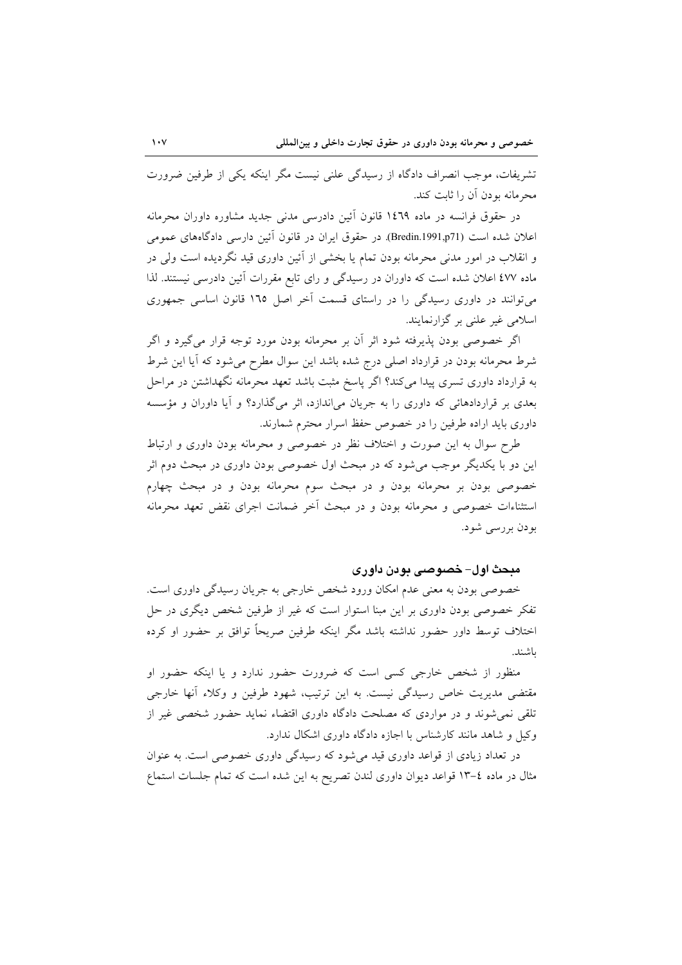تشریفات، موجب انصراف دادگاه از رسیدگی علنی نیست مگر اینکه یکی از طرفین ضرورت محرمانه بودن آن را ثابت کند.

در حقوق فرانسه در ماده ۱٤٦٩ قانون أئين دادرسي مدني جديد مشاوره داوران محرمانه اعلان شده است (Bredin.1991,p71). در حقوق ايران در قانون اَئين دارسي دادگاههاي عمومي و انقلاب در امور مدنی محرمانه بودن تمام یا بخشی از آئین داوری قید نگردیده است ولی در ماده ٤٧٧ اعلان شده است كه داوران در رسيدگي و راي تابع مقررات أئين دادرسي نيستند. لذا می توانند در داوری رسیدگی را در راستای قسمت آخر اصل ۱٦٥ قانون اساسی جمهوری اسلامي غير علني بر گزارنمايند.

اگر خصوصی بودن پذیرفته شود اثر أن بر محرمانه بودن مورد توجه قرار میگیرد و اگر شرط محرمانه بودن در قرارداد اصلی درج شده باشد این سوال مطرح میشود که آیا این شرط به قرارداد داوری تسری پیدا می کند؟ اگر پاسخ مثبت باشد تعهد محرمانه نگهداشتن در مراحل بعدی بر قراردادهائی که داوری را به جریان میاندازد، اثر میگذارد؟ و آیا داوران و مؤسسه داوری باید اراده طرفین را در خصوص حفظ اسرار محترم شمارند.

طرح سوال به این صورت و اختلاف نظر در خصوصی و محرمانه بودن داوری و ارتباط این دو با یکدیگر موجب میشود که در مبحث اول خصوصی بودن داوری در مبحث دوم اثر خصوصی بودن بر محرمانه بودن و در مبحث سوم محرمانه بودن و در مبحث چهارم استثناءات خصوصی و محرمانه بودن و در مبحث آخر ضمانت اجرای نقض تعهد محرمانه بودن بررسی شود.

### مبحث اول– خصوصی بودن داوری

خصوصی بودن به معنی عدم امکان ورود شخص خارجی به جریان رسیدگی داوری است. تفکر خصوصی بودن داوری بر این مبنا استوار است که غیر از طرفین شخص دیگری در حل اختلاف توسط داور حضور نداشته باشد مگر اینکه طرفین صریحاً توافق بر حضور او کرده ىاشند.

منظور از شخص خارجی کسی است که ضرورت حضور ندارد و یا اینکه حضور او مقتضی مدیریت خاص رسیدگی نیست. به این ترتیب، شهود طرفین و وکلاء أنها خارجی تلقی نمی شوند و در مواردی که مصلحت دادگاه داوری اقتضاء نماید حضور شخصی غیر از وکیل و شاهد مانند کارشناس با اجازه دادگاه داوری اشکال ندارد.

در تعداد زیادی از قواعد داوری قید می شود که رسیدگی داوری خصوصی است. به عنوان مثال در ماده ٤–١٣ قواعد ديوان داوري لندن تصريح به اين شده است كه تمام جلسات استماع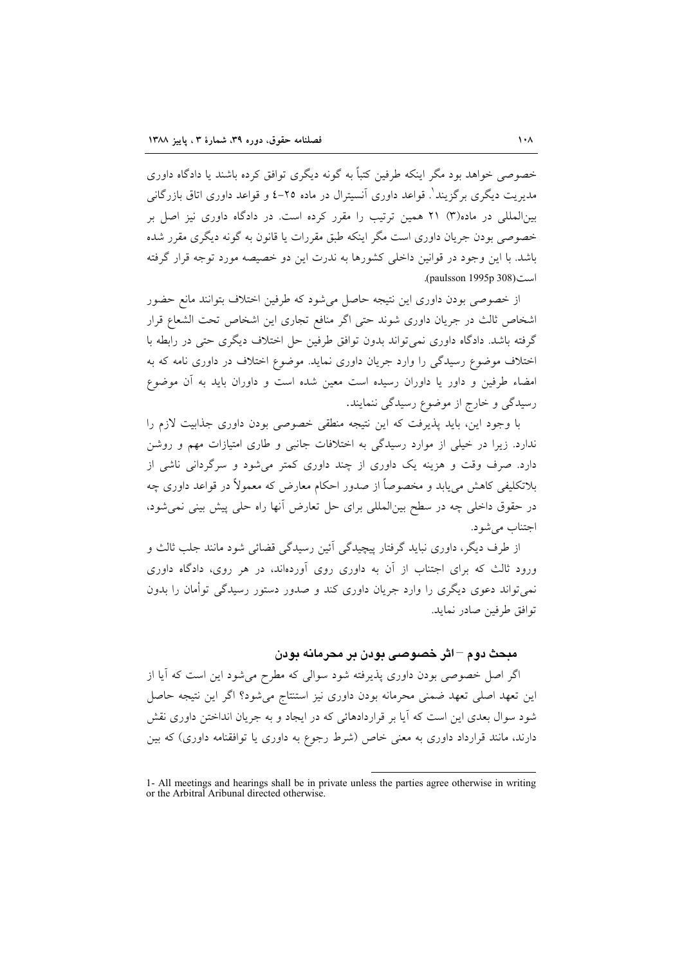خصوصی خواهد بود مگر اینکه طرفین کتباً به گونه دیگری توافق کرده باشند یا دادگاه داوری مدیریت دیگری پر گزیند'. قواعد داوری آنسترال در ماده ۲۵–٤ و قواعد داوری اتاق بازر گانی بینالمللی در ماده(۳) ۲۱ همین ترتیب را مقرر کرده است. در دادگاه داوری نیز اصل بر خصوصی بودن جریان داوری است مگر اینکه طبق مقررات یا قانون به گونه دیگری مقرر شده باشد. با این وجود در قوانین داخلی کشورها به ندرت این دو خصیصه مورد توجه قرار گرفته است (1995 paulsson).

از خصوصی بودن داوری این نتیجه حاصل میشود که طرفین اختلاف بتوانند مانع حضور اشخاص ثالث در جريان داوري شوند حتى اگر منافع تجارى اين اشخاص تحت الشعاع قرار گرفته باشد. دادگاه داوری نمی تواند بدون توافق طرفین حل اختلاف دیگری حتی در رابطه با اختلاف موضوع رسیدگی را وارد جریان داوری نماید. موضوع اختلاف در داوری نامه که به امضاء طرفین و داور یا داوران رسیده است معین شده است و داوران باید به آن موضوع رسیدگی و خارج از موضوع رسیدگی ننمایند.

با وجود این، باید پذیرفت که این نتیجه منطقی خصوصی بودن داوری جذابیت لازم را ندارد. زیرا در خیلی از موارد رسیدگی به اختلافات جانبی و طاری امتیازات مهم و روشن دارد. صرف وقت و هزینه یک داوری از چند داوری کمتر میشود و سرگردانی ناشی از بلاتکلیفی کاهش می پابد و مخصوصاً از صدور احکام معارض که معمولاً در قواعد داوری چه در حقوق داخلی چه در سطح بینالمللی برای حل تعارض آنها راه حلی پیش بینی نمی شود، اجتناب مي شود.

از طرف دیگر، داوری نباید گرفتار پیچیدگی آئین رسیدگی قضائی شود مانند جلب ثالث و ورود ثالث که برای اجتناب از آن به داوری روی آوردهاند، در هر روی، دادگاه داوری نمی تواند دعوی دیگری را وارد جریان داوری کند و صدور دستور رسیدگی توأمان را بدون توافق طرفين صادر نمايد.

### مبحث دوم –اثر خصوصی بودن بر محرمانه بودن

اگر اصل خصوصی بودن داوری پذیرفته شود سوالی که مطرح میشود این است که آیا از این تعهد اصلی تعهد ضمنی محرمانه بودن داوری نیز استنتاج میشود؟ اگر این نتیجه حاصل شود سوال بعدی این است که آیا بر قراردادهائی که در ایجاد و به جریان انداختن داوری نقش دارند، مانند قرارداد داوری به معنی خاص (شرط رجوع به داوری یا توافقنامه داوری) که بین

<sup>1-</sup> All meetings and hearings shall be in private unless the parties agree otherwise in writing or the Arbitral Aribunal directed otherwise.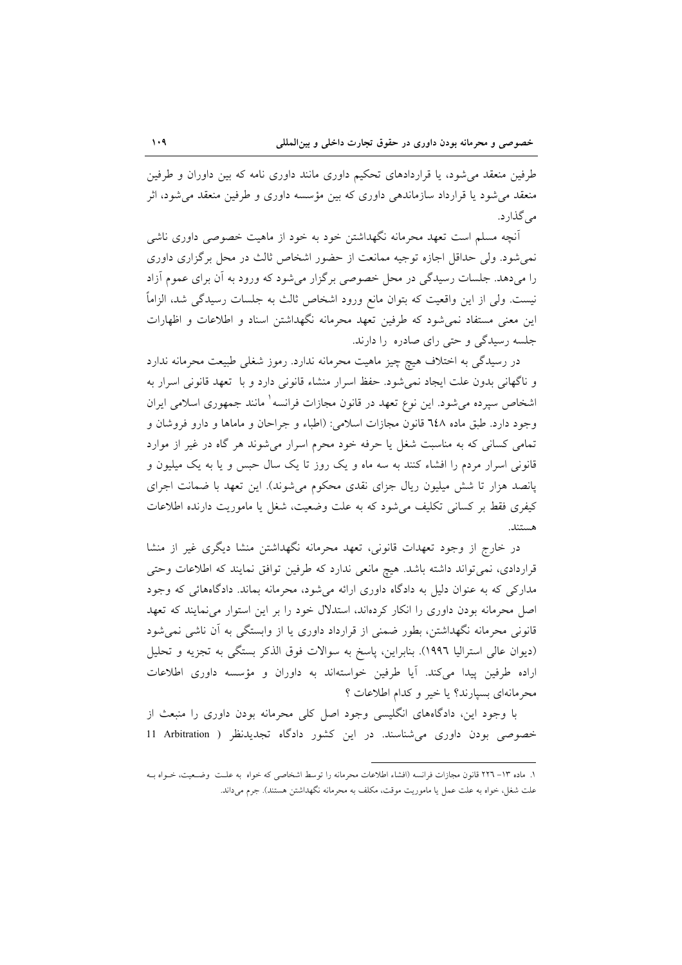طرفین منعقد می شود، یا قراردادهای تحکیم داوری مانند داوری نامه که بین داوران و طرفین منعقد می شود یا قرارداد سازماندهی داوری که بین مؤسسه داوری و طرفین منعقد می شود، اثر مر گذار د.

آنچه مسلم است تعهد محرمانه نگهداشتن خود به خود از ماهیت خصوصی داوری ناشی نمی شود. ولی حداقل اجازه توجیه ممانعت از حضور اشخاص ثالث در محل برگزاری داوری را میدهد. جلسات رسیدگی در محل خصوصی برگزار میشود که ورود به اَن برای عموم اَزاد نيست. ولي از اين واقعيت كه بتوان مانع ورود اشخاص ثالث به جلسات رسيدگي شد، الزاماً این معنی مستفاد نمی شود که طرفین تعهد محرمانه نگهداشتن اسناد و اطلاعات و اظهارات جلسه رسیدگی و حتی رای صادره را دارند.

در رسیدگی به اختلاف هیچ چیز ماهیت محرمانه ندارد. رموز شغلی طبیعت محرمانه ندارد و ناگهانی بدون علت ایجاد نمی شود. حفظ اسرار منشاء قانونی دارد و با تعهد قانونی اسرار به اشخاص سپرده میشود. این نوع تعهد در قانون مجازات فرانسه ٰ مانند جمهوری اسلامی ایران وجود دارد. طبق ماده ٦٤٨ قانون مجازات اسلامي: (اطباء و جراحان و ماماها و دارو فروشان و تمامی کسانی که به مناسبت شغل یا حرفه خود محرم اسرار میشوند هر گاه در غیر از موارد قانونی اسرار مردم را افشاء کنند به سه ماه و یک روز تا یک سال حبس و یا به یک میلیون و پانصد هزار تا شش میلیون ریال جزای نقدی محکوم می شوند). این تعهد با ضمانت اجرای كيفري فقط بر كساني تكليف مي شود كه به علت وضعيت، شغل يا ماموريت دارنده اطلاعات هستند.

در خارج از وجود تعهدات قانونی، تعهد محرمانه نگهداشتن منشا دیگری غیر از منشا قراردادی، نمیتواند داشته باشد. هیچ مانعی ندارد که طرفین توافق نمایند که اطلاعات وحتی مدارکی که به عنوان دلیل به دادگاه داوری ارائه می شود، محرمانه بماند. دادگاههائی که وجود اصل محرمانه بودن داوری را انکار کردهاند، استدلال خود را بر این استوار می نمایند که تعهد قانونی محرمانه نگهداشتن، بطور ضمنی از قرارداد داوری یا از وابستگی به آن ناشی نمی شود (ديوان عالي استراليا ١٩٩٦). بنابراين، پاسخ به سوالات فوق الذكر بستگي به تجزيه و تحليل اراده طرفین پیدا می کند. آیا طرفین خواستهاند به داوران و مؤسسه داوری اطلاعات محرمانهای بسیارند؟ یا خیر و کدام اطلاعات ؟

با وجود این، دادگاههای انگلیسی وجود اصل کلی محرمانه بودن داوری را منبعث از خصوصی بودن داوری می شناسند. در این کشور دادگاه تجدیدنظر ( Arbitration 11

١. ماده ١٣– ٢٢٦ قانون مجازات فرانسه (افشاء اطلاعات محرمانه را توسط اشخاصی كه خواه به علـت وضـعيت، خـواه بـه علت شغل، خواه به علت عمل یا ماموریت موقت، مکلف به محرمانه نگهداشتن هستند). جرم میداند.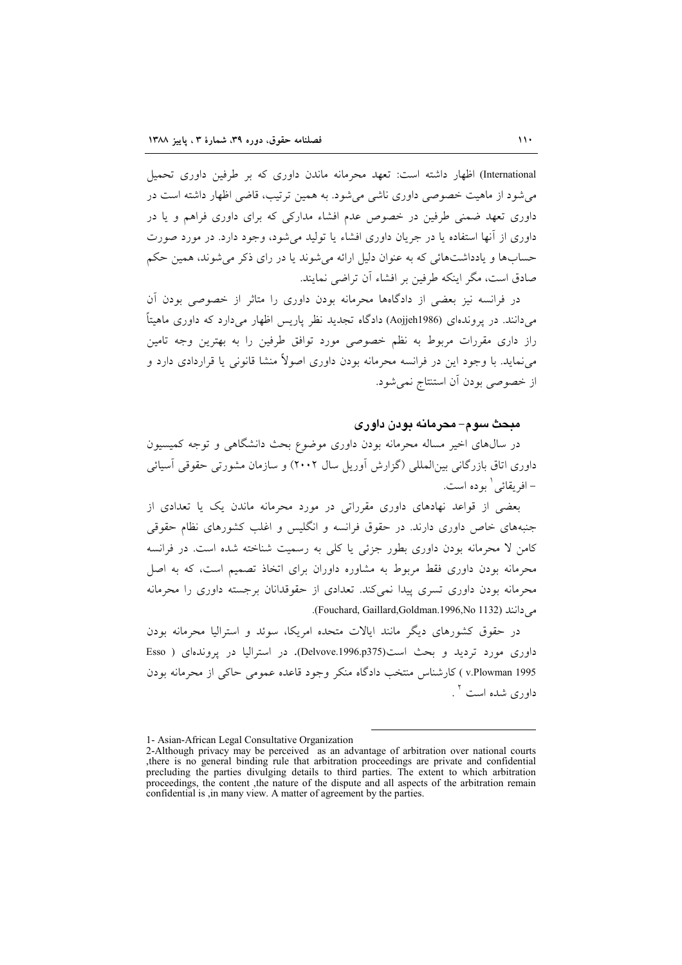International) اظهار داشته است: تعهد محرمانه ماندن داوری که بر طرفین داوری تحمیل می شود از ماهیت خصوصی داوری ناشی می شود. به همین ترتیب، قاضی اظهار داشته است در داوری تعهد ضمنی طرفین در خصوص عدم افشاء مدارکی که برای داوری فراهم و یا در داوری از آنها استفاده یا در جریان داوری افشاء یا تولید می شود، وجود دارد. در مورد صورت حسابها و يادداشتهائي كه به عنوان دليل ارائه مي شوند يا در راي ذكر مي شوند، همين حكم صادق است، مگر اینکه طرفین بر افشاء آن تراضی نمایند.

در فرانسه نیز بعضی از دادگاهها محرمانه بودن داوری را متاثر از خصوصی بودن آن می دانند. در یروندهای (Aojjeh1986) دادگاه تجدید نظر پاریس اظهار می دارد که داوری ماهیتاً راز داری مقررات مربوط به نظم خصوصی مورد توافق طرفین را به بهترین وجه تامین می نماید. با وجود این در فرانسه محرمانه بودن داوری اصولاً منشا قانونی یا قراردادی دارد و از خصوصی بودن آن استنتاج نمی شود.

### مبحث سوم– محرمانه بودن داوری

در سال@ای اخیر مساله محرمانه بودن داوری موضوع بحث دانشگاهی و توجه کمیسیون داوری اتاق بازرگانی بین المللی (گزارش آوریل سال ۲۰۰۲) و سازمان مشورتی حقوقی آسیائی – افريقائي ` بو ده است.

بعضی از قواعد نهادهای داوری مقرراتی در مورد محرمانه ماندن یک یا تعدادی از جنبههای خاص داوری دارند. در حقوق فرانسه و انگلیس و اغلب کشورهای نظام حقوقی کامن لا محرمانه بودن داوری بطور جزئی یا کلی به رسمیت شناخته شده است. در فرانسه محرمانه بودن داوری فقط مربوط به مشاوره داوران برای اتخاذ تصمیم است، که به اصل محرمانه بودن داوری تسری پیدا نمی کند. تعدادی از حقوقدانان برجسته داوری را محرمانه می دانند (Fouchard, Gaillard,Goldman.1996,No 1132).

در حقوق کشورهای دیگر مانند ایالات متحده امریکا، سوئد و استرالیا محرمانه بودن داوري مورد ترديد و بحث است(Delvove.1996.p375). در استراليا در پروندهاي ( Esso v.Plowman 1995) كارشناس منتخب دادگاه منكر وجود قاعده عمومي حاكي از محرمانه بودن داوري شده است <sup>۲</sup> .

<sup>1-</sup> Asian-African Legal Consultative Organization

<sup>2-</sup>Although privacy may be perceived as an advantage of arbitration over national courts , there is no general binding rule that arbitration proceedings are private and confidential precluding the parties divulging details to third parties. The extent to which arbitration proceedings, the content , the nature of the dispute and all aspects of the arbitration remain confidential is , in many view. A matter of agreement by the parties.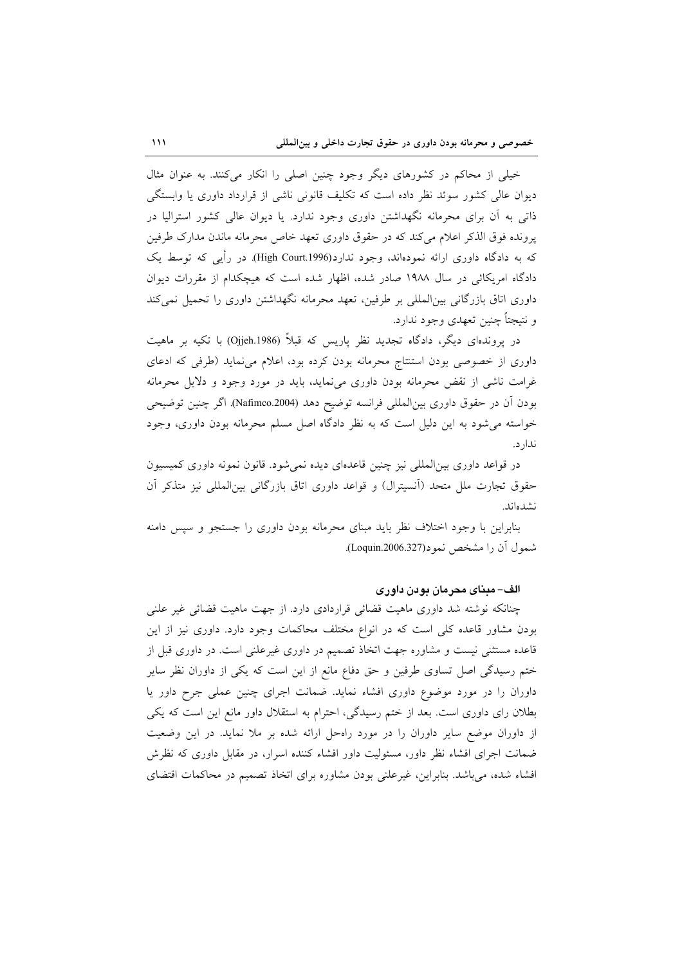خیلی از محاکم در کشورهای دیگر وجود چنین اصلی را انکار میکنند. به عنوان مثال دیوان عالی کشور سوئد نظر داده است که تکلیف قانونی ناشی از قرارداد داوری یا وابستگی ذاتی به آن برای محرمانه نگهداشتن داوری وجود ندارد. یا دیوان عالی کشور استرالیا در یرونده فوق الذکر اعلام می کند که در حقوق داوری تعهد خاص محرمانه ماندن مدارک طرفین که به دادگاه داوری ارائه نمودهاند، وجود ندارد(High Court.1996). در رأیی که توسط یک دادگاه امریکائی در سال ۱۹۸۸ صادر شده، اظهار شده است که هیچکدام از مقررات دیوان داوری اتاق بازرگانی بینالمللی بر طرفین، تعهد محرمانه نگهداشتن داوری را تحمیل نمی کند و نتيجتاً چنين تعهدي وجود ندارد.

در پروندهای دیگر، دادگاه تجدید نظر پاریس که قبلاً (Ojjeh.1986) با تکیه بر ماهیت داوری از خصوصی بودن استنتاج محرمانه بودن کرده بود، اعلام می نماید (طرفی که ادعای غرامت ناشی از نقض محرمانه بودن داوری می نماید، باید در مورد وجود و دلایل محرمانه بودن أن در حقوق داوری بین|لمللی فرانسه توضیح دهد (Nafimco.2004). اگر چنین توضیحی خواسته می شود به این دلیل است که به نظر دادگاه اصل مسلم محرمانه بودن داوری، وجود ندارد.

در قواعد داوری بینالمللی نیز چنین قاعدهای دیده نمیشود. قانون نمونه داوری کمیسیون حقوق تجارت ملل متحد (اَنسیترال) و قواعد داوری اتاق بازرگانی بینالمللی نیز متذکر اَن نشدهاند.

بنابراین با وجود اختلاف نظر باید مبنای محرمانه بودن داوری را جستجو و سپس دامنه شمول آن را مشخص نمو د(Loquin.2006.327).

### الف– مبنای محرمان بودن داوری

چنانکه نوشته شد داوری ماهیت قضائی قراردادی دارد. از جهت ماهیت قضائی غیر علنی بودن مشاور قاعده کلی است که در انواع مختلف محاکمات وجود دارد. داوری نیز از این قاعده مستثنی نیست و مشاوره جهت اتخاذ تصمیم در داوری غیرعلنی است. در داوری قبل از ختم رسیدگی اصل تساوی طرفین و حق دفاع مانع از این است که یکی از داوران نظر سایر داوران را در مورد موضوع داوری افشاء نماید. ضمانت اجرای چنین عملی جرح داور یا بطلان رای داوری است. بعد از ختم رسیدگی، احترام به استقلال داور مانع این است که یکی از داوران موضع سایر داوران را در مورد راهحل ارائه شده بر ملا نماید. در این وضعیت ضمانت اجرای افشاء نظر داور، مسئولیت داور افشاء کننده اسرار، در مقابل داوری که نظرش افشاء شده، می باشد. بنابراین، غیرعلنی بودن مشاوره برای اتخاذ تصمیم در محاکمات اقتضای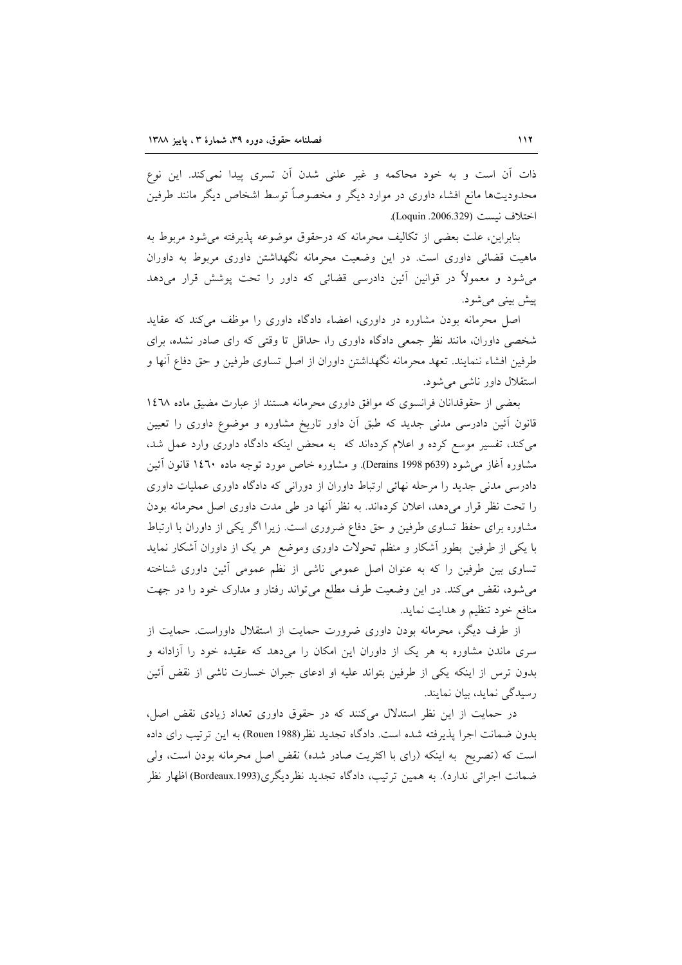ذات آن است و به خود محاکمه و غیر علنی شدن آن تسری پیدا نمیکند. این نوع محدودیتها مانع افشاء داوری در موارد دیگر و مخصوصاً توسط اشخاص دیگر مانند طرفین اختلاف نيست (Loquin .2006.329).

بنابراين، علت بعضي از تكاليف محرمانه كه درحقوق موضوعه يذيرفته مي شود مربوط به ماهیت قضائی داوری است. در این وضعیت محرمانه نگهداشتن داوری مربوط به داوران میشود و معمولاً در قوانین آئین دادرسی قضائی که داور را تحت پوشش قرار میدهد پیش بینی می شود.

اصل محرمانه بودن مشاوره در داوری، اعضاء دادگاه داوری را موظف می کند که عقاید شخصی داوران، مانند نظر جمعی دادگاه داوری را، حداقل تا وقتی که رای صادر نشده، برای طرفین افشاء ننمایند. تعهد محرمانه نگهداشتن داوران از اصل تساوی طرفین و حق دفاع آنها و استقلال داور ناش<sub>ی</sub> می شود.

بعضی از حقوقدانان فرانسوی که موافق داوری محرمانه هستند از عبارت مضیق ماده ١٤٦٨ قانون آئین دادرسی مدنی جدید که طبق آن داور تاریخ مشاوره و موضوع داوری را تعیین می کند، تفسیر موسع کرده و اعلام کردهاند که به محض اینکه دادگاه داوری وارد عمل شد، مشاوره آغاز می شود (Derains 1998 p639). و مشاوره خاص مورد توجه ماده ۱٤٦٠ قانون آئين دادرسی مدنی جدید را مرحله نهائی ارتباط داوران از دورانی که دادگاه داوری عملیات داوری را تحت نظر قرار میدهد، اعلان کردهاند. به نظر أنها در طی مدت داوری اصل محرمانه بودن مشاوره برای حفظ تساوی طرفین و حق دفاع ضروری است. زیرا اگر یکی از داوران با ارتباط با یکی از طرفین بطور آشکار و منظم تحولات داوری وموضع هر یک از داوران آشکار نماید تساوی بین طرفین را که به عنوان اصل عمومی ناشی از نظم عمومی أئین داوری شناخته می شود، نقض می کند. در این وضعیت طرف مطلع می تواند رفتار و مدارک خود را در جهت منافع خود تنظیم و هدایت نماید.

از طرف دیگر، محرمانه بودن داوری ضرورت حمایت از استقلال داوراست. حمایت از سری ماندن مشاوره به هر یک از داوران این امکان را میدهد که عقیده خود را آزادانه و بدون ترس از اینکه یکی از طرفین بتواند علیه او ادعای جبران خسارت ناشی از نقض آئین رسیدگی نماید، بیان نمایند.

در حمایت از این نظر استدلال میکنند که در حقوق داوری تعداد زیادی نقض اصل، بدون ضمانت اجرا يذيرفته شده است. دادگاه تجديد نظر (Rouen 1988) به اين ترتيب راي داده است که (تصریح به اینکه (رای با اکثریت صادر شده) نقض اصل محرمانه بودن است، ولی ضمانت اجرائی ندارد). به همین ترتیب، دادگاه تجدید نظردیگری(Bordeaux.1993) اظهار نظر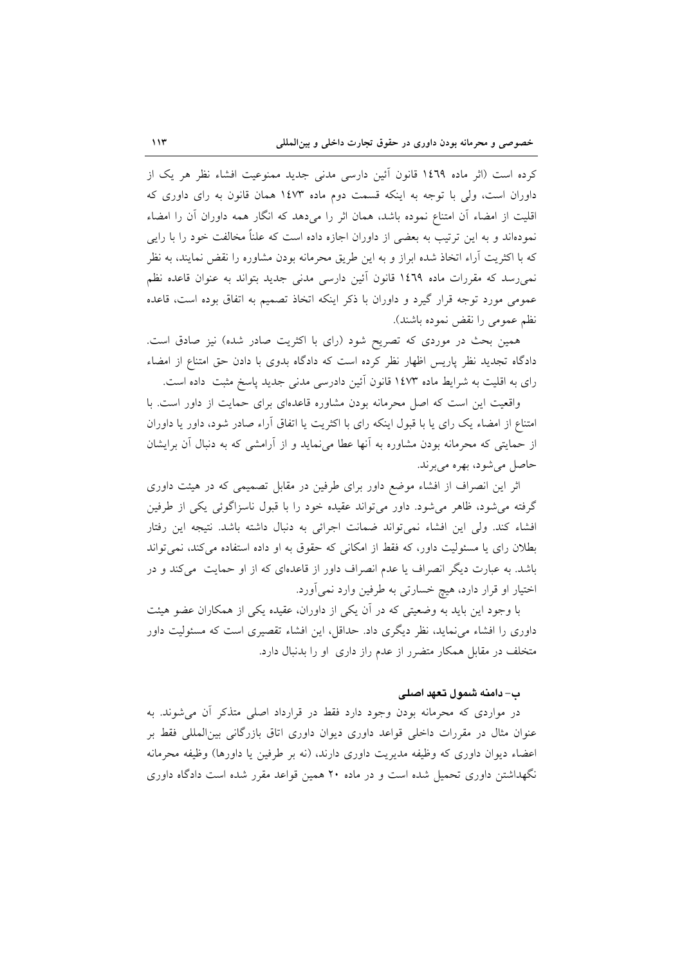كرده است (اثر ماده ١٤٦٩ قانون آئين دارسي مدني جديد ممنوعيت افشاء نظر هر يک از داوران است، ولی با توجه به اینکه قسمت دوم ماده ۱٤٧٣ همان قانون به رای داوری که اقلیت از امضاء اّن امتناع نموده باشد، همان اثر را میدهد که انگار همه داوران اّن را امضاء نمودهاند و به این ترتیب به بعضی از داوران اجازه داده است که علناً مخالفت خود را با رایی که با اکثریت آراء اتخاذ شده ابراز و به این طریق محرمانه بودن مشاوره را نقض نمایند، به نظر نمی رسد که مقررات ماده ١٤٦٩ قانون آئین دارسی مدنی جدید بتواند به عنوان قاعده نظم عمومی مورد توجه قرار گیرد و داوران با ذکر اینکه اتخاذ تصمیم به اتفاق بوده است، قاعده نظم عمومی را نقض نموده باشند).

همین بحث در موردی که تصریح شود (رای با اکثریت صادر شده) نیز صادق است. دادگاه تجدید نظر پاریس اظهار نظر کرده است که دادگاه بدوی با دادن حق امتناع از امضاء رای به اقلیت به شرایط ماده ۱٤۷۳ قانون آئین دادرسی مدنی جدید پاسخ مثبت داده است.

واقعیت این است که اصل محرمانه بودن مشاوره قاعدهای برای حمایت از داور است. با امتناع از امضاء یک رای یا با قبول اینکه رای با اکثریت یا اتفاق آراء صادر شود، داور یا داوران از حمایتی که محرمانه بودن مشاوره به آنها عطا می نماید و از آرامشی که به دنبال آن برایشان حاصل مي شود، بهره مي برند.

اثر این انصراف از افشاء موضع داور برای طرفین در مقابل تصمیمی که در هیئت داوری گرفته می شود، ظاهر می شود. داور می تواند عقیده خود را با قبول ناسزاگوئی یکی از طرفین افشاء كند. ولي اين افشاء نمي تواند ضمانت اجرائي به دنبال داشته باشد. نتيجه اين رفتار بطلان رای یا مسئولیت داور، که فقط از امکانی که حقوق به او داده استفاده میکند، نمی تواند باشد. به عبارت دیگر انصراف یا عدم انصراف داور از قاعدهای که از او حمایت ً میکند و در اختیار او قرار دارد، هیچ خسارتی به طرفین وارد نمیآورد.

با وجود این باید به وضعیتی که در آن یکی از داوران، عقیده یکی از همکاران عضو هیئت داوری را افشاء می نماید، نظر دیگری داد. حداقل، این افشاء تقصیری است که مسئولیت داور متخلف در مقابل همکار متضرر از عدم راز داری او را بدنبال دارد.

### ب– دامنه شمول تعهد اصلى

در مواردی که محرمانه بودن وجود دارد فقط در قرارداد اصلی متذکر آن میشوند. به عنوان مثال در مقررات داخلی قواعد داوری دیوان داوری اتاق بازرگانی بین|لمللی فقط بر اعضاء ديوان داوري كه وظيفه مديريت داوري دارند، (نه بر طرفين يا داورها) وظيفه محرمانه نگهداشتن داوری تحمیل شده است و در ماده ۲۰ همین قواعد مقرر شده است دادگاه داوری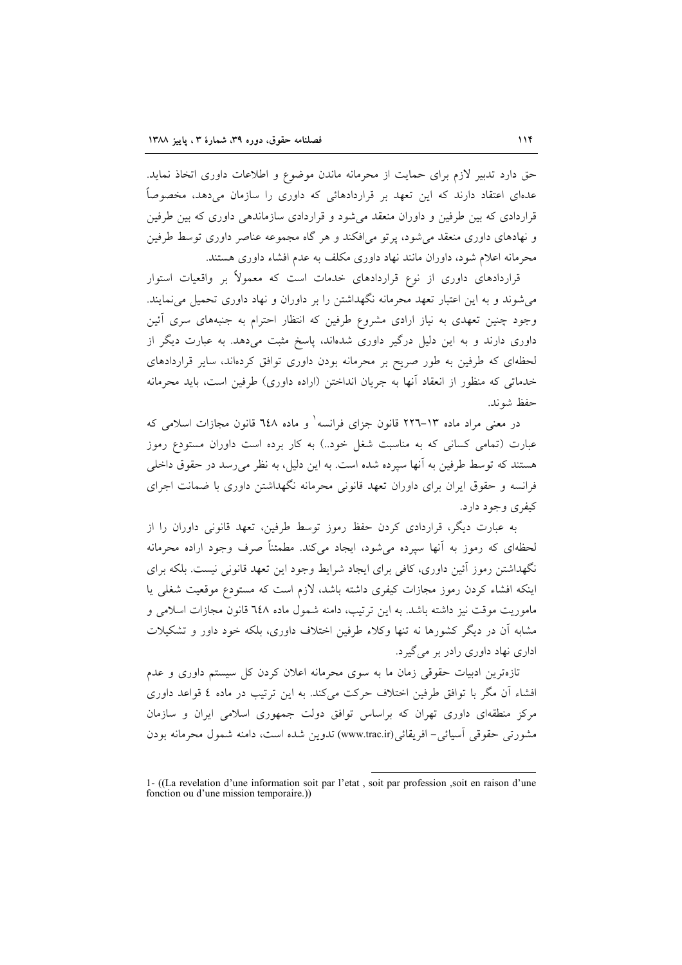حق دارد تدبیر لازم برای حمایت از محرمانه ماندن موضوع و اطلاعات داوری اتخاذ نماید. عدهای اعتقاد دارند که این تعهد بر قراردادهائی که داوری را سازمان می،دهد، مخصوصاً قراردادی که بین طرفین و داوران منعقد می شود و قراردادی سازماندهی داوری که بین طرفین و نهادهای داوری منعقد می شود، پر تو می افکند و هر گاه مجموعه عناصر داوری توسط طرفین محرمانه اعلام شود، داوران مانند نهاد داوری مکلف به عدم افشاء داوری هستند.

قراردادهای داوری از نوع قراردادهای خدمات است که معمولاً بر واقعیات استوار می شوند و به این اعتبار تعهد محرمانه نگهداشتن را بر داوران و نهاد داوری تحمیل می نمایند. وجود چنین تعهدی به نیاز ارادی مشروع طرفین که انتظار احترام به جنبههای سری آئین داوری دارند و به این دلیل درگیر داوری شدهاند، پاسخ مثبت میدهد. به عبارت دیگر از لحظهای که طرفین به طور صریح بر محرمانه بودن داوری توافق کردهاند، سایر قراردادهای خدماتی که منظور از انعقاد آنها به جریان انداختن (اراده داوری) طرفین است، باید محرمانه حفظ شوند.

در معنی مراد ماده ۱۳–۲۲٦ قانون جزای فرانسه و ماده ۱٤۸ قانون مجازات اسلامی که عبارت (تمامی کسانی که به مناسبت شغل خود..) به کار برده است داوران مستودع رموز هستند که توسط طرفین به آنها سپرده شده است. به این دلیل، به نظر میرسد در حقوق داخلی فرانسه و حقوق ایران برای داوران تعهد قانونی محرمانه نگهداشتن داوری با ضمانت اجرای کيفري وجود دارد.

به عبارت دیگر، قراردادی کردن حفظ رموز توسط طرفین، تعهد قانونی داوران را از لحظهای که رموز به آنها سیرده می شود، ایجاد می کند. مطمئناً صرف وجود اراده محرمانه نگهداشتن رموز آئین داوری، کافی برای ایجاد شرایط وجود این تعهد قانونی نیست. بلکه برای اینکه افشاء کردن رموز مجازات کیفری داشته باشد، لازم است که مستودع موقعیت شغلی یا ماموریت موقت نیز داشته باشد. به این ترتیب، دامنه شمول ماده ٦٤٨ قانون مجازات اسلامی و مشابه آن در دیگر کشورها نه تنها وکلاء طرفین اختلاف داوری، بلکه خود داور و تشکیلات اداري نهاد داوري رادر بر مي گير د.

تازهترین ادبیات حقوقی زمان ما به سوی محرمانه اعلان کردن کل سیستم داوری و عدم افشاء آن مگر با توافق طرفین اختلاف حرکت می کند. به این ترتیب در ماده ٤ قواعد داوری مرکز منطقهای داوری تهران که براساس توافق دولت جمهوری اسلامی ایران و سازمان مشورتي حقوقي آسيائي– افريقائي(www.trac.ir) تدوين شده است، دامنه شمول محرمانه بودن

<sup>1- ((</sup>La revelation d'une information soit par l'etat, soit par profession, soit en raison d'une fonction ou d'une mission temporaire.)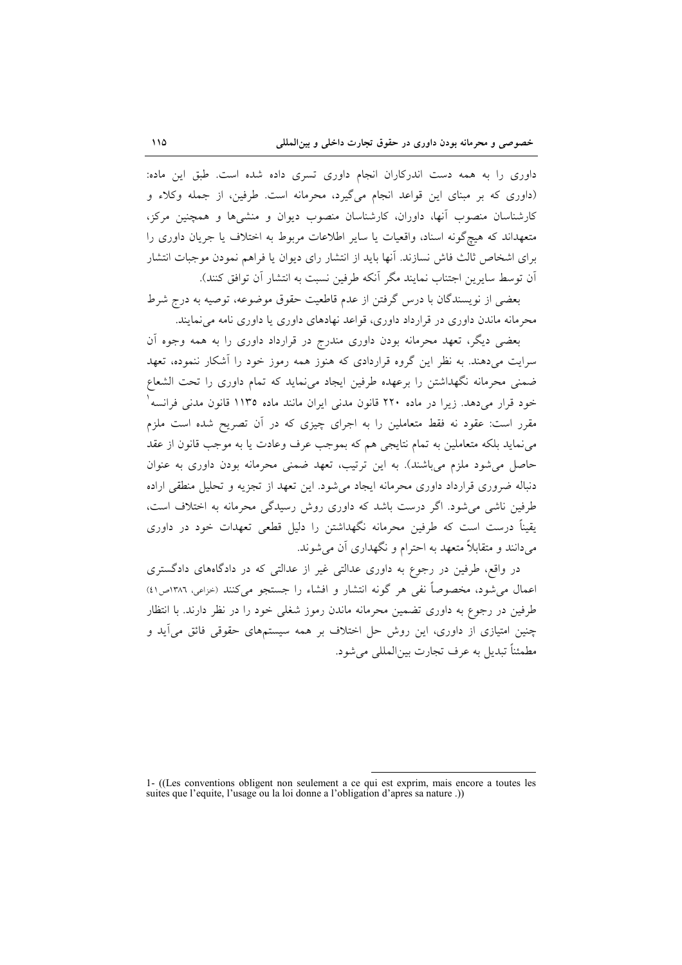داوری را به همه دست اندرکاران انجام داوری تسری داده شده است. طبق این ماده: (داوري كه بر مبناي اين قواعد انجام مي گيرد، محرمانه است. طرفين، از جمله وكلاء و کارشناسان منصوب آنها، داوران، کارشناسان منصوب دیوان و منشیها و همچنین مرکز، متعهداند که هیچگونه اسناد، واقعیات یا سایر اطلاعات مربوط به اختلاف یا جریان داوری را برای اشخاص ثالث فاش نسازند. آنها باید از انتشار رای دیوان یا فراهم نمودن موجبات انتشار آن توسط سایرین اجتناب نمایند مگر آنکه طرفین نسبت به انتشار آن توافق کنند).

بعضي از نويسندگان با درس گرفتن از عدم قاطعيت حقوق موضوعه، توصيه به درج شرط محرمانه ماندن داوری در قرارداد داوری، قواعد نهادهای داوری یا داوری نامه می نمایند.

بعضی دیگر، تعهد محرمانه بودن داوری مندرج در قرارداد داوری را به همه وجوه آن سرایت میدهند. به نظر این گروه قراردادی که هنوز همه رموز خود را آشکار ننموده، تعهد ضمنی محرمانه نگهداشتن را برعهده طرفین ایجاد می نماید که تمام داوری را تحت الشعاع خود قرار میدهد. زیرا در ماده ۲۲۰ قانون مدنی ایران مانند ماده ۱۱۳۵ قانون مدنی فرانسه <sup>۱</sup> مقرر است: عقود نه فقط متعاملین را به اجرای چیزی که در آن تصریح شده است ملزم می نماید بلکه متعاملین به تمام نتایجی هم که بموجب عرف وعادت یا به موجب قانون از عقد حاصل می شود ملزم میباشند). به این ترتیب، تعهد ضمنی محرمانه بودن داوری به عنوان دنباله ضروری قرارداد داوری محرمانه ایجاد می شود. این تعهد از تجزیه و تحلیل منطقی اراده طرفین ناشی می شود. اگر درست باشد که داوری روش رسیدگی محرمانه به اختلاف است، یقیناً درست است که طرفین محرمانه نگهداشتن را دلیل قطعی تعهدات خود در داوری می دانند و متقابلاً متعهد به احترام و نگهداری آن می شوند.

در واقع، طرفین در رجوع به داوری عدالتی غیر از عدالتی که در دادگاههای دادگستری اعمال می شود، مخصوصاً نفی هر گونه انتشار و افشاء را جستجو می کنند (خزاعی، ۱۳۸۲ص۱۶) طرفین در رجوع به داوری تضمین محرمانه ماندن رموز شغلی خود را در نظر دارند. با انتظار چنین امتیازی از داوری، این روش حل اختلاف بر همه سیستمهای حقوقی فائق می آید و مطمئناً تبديل به عرف تجارت بين|لمللي مي شود.

<sup>1- ((</sup>Les conventions obligent non seulement a ce qui est exprim, mais encore a toutes les suites que l'equite, l'usage ou la loi donne a l'obligation d'après sa nature.)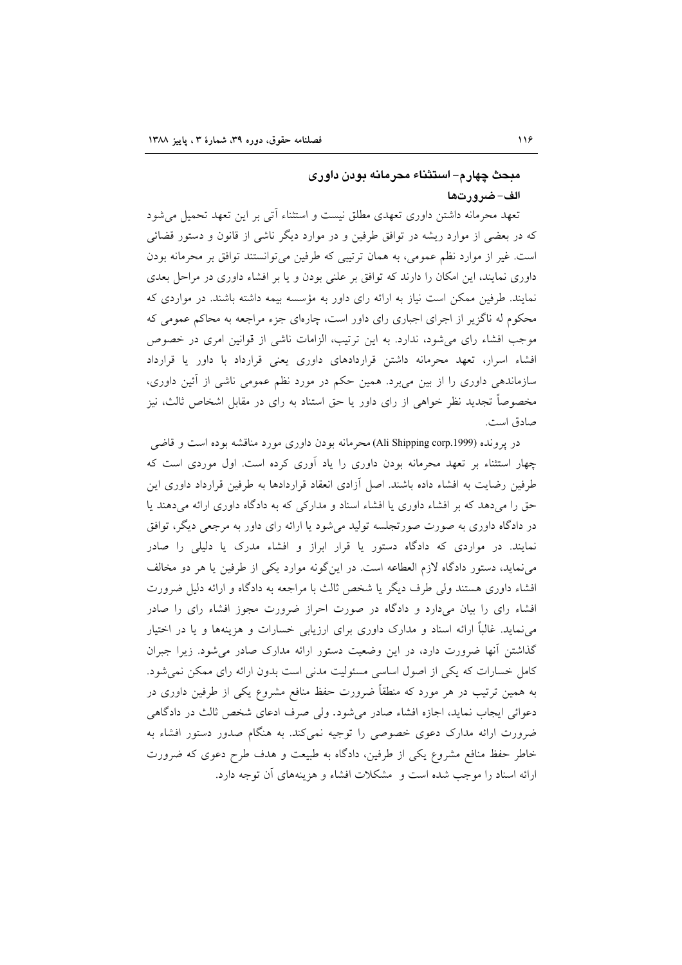## مبحث چهار م– استثناء محرمانه بودن داوری الف-ضرورتها

تعهد محرمانه داشتن داوری تعهدی مطلق نیست و استثناء آتی بر این تعهد تحمیل می شود که در بعضی از موارد ریشه در توافق طرفین و در موارد دیگر ناشی از قانون و دستور قضائی است. غیر از موارد نظم عمومی، به همان ترتیبی که طرفین می توانستند توافق بر محرمانه بودن داوری نمایند، این امکان را دارند که توافق بر علنی بودن و یا بر افشاء داوری در مراحل بعدی نمایند. طرفین ممکن است نیاز به ارائه رای داور به مؤسسه بیمه داشته باشند. در مواردی که محکوم له ناگزیر از اجرای اجباری رای داور است، چارهای جزء مراجعه به محاکم عمومی که موجب افشاء رای میشود، ندارد. به این ترتیب، الزامات ناشی از قوانین امری در خصوص افشاء اسرار، تعهد محرمانه داشتن قراردادهای داوری یعنی قرارداد با داور یا قرارداد سازماندهی داوری را از بین میبرد. همین حکم در مورد نظم عمومی ناشی از أئین داوری، مخصوصاً تجدید نظر خواهی از رای داور یا حق استناد به رای در مقابل اشخاص ثالث، نیز صادق است.

در یرونده (Ali Shipping corp.1999) محرمانه بودن داوری مورد مناقشه بوده است و قاضی چهار استثناء بر تعهد محرمانه بودن داوری را یاد آوری کرده است. اول موردی است که طرفین رضایت به افشاء داده باشند. اصل آزادی انعقاد قراردادها به طرفین قرارداد داوری این حق را میدهد که بر افشاء داوری یا افشاء اسناد و مدارکی که به دادگاه داوری ارائه میدهند یا در دادگاه داوری به صورت صورتجلسه تولید میشود یا ارائه رای داور به مرجعی دیگر، توافق نمایند. در مواردی که دادگاه دستور یا قرار ابراز و افشاء مدرک یا دلیلی را صادر می نماید، دستور دادگاه لازم العطاعه است. در این گونه موارد یکی از طرفین یا هر دو مخالف افشاء داوری هستند ولی طرف دیگر یا شخص ثالث با مراجعه به دادگاه و ارائه دلیل ضرورت افشاء رای را بیان میدارد و دادگاه در صورت احراز ضرورت مجوز افشاء رای را صادر می نماید. غالباً ارائه اسناد و مدارک داوری برای ارزیابی خسارات و هزینهها و یا در اختیار گذاشتن آنها ضرورت دارد، در این وضعیت دستور ارائه مدارک صادر می شود. زیرا جبران کامل خسارات که یکی از اصول اساسی مسئولیت مدنی است بدون ارائه رای ممکن نمی شود. به همین ترتیب در هر مورد که منطقاً ضرورت حفظ منافع مشروع یکی از طرفین داوری در دعوائی ایجاب نماید، اجازه افشاء صادر میشود. ولی صرف ادعای شخص ثالث در دادگاهی ضرورت ارائه مدارک دعوی خصوصی را توجیه نمی کند. به هنگام صدور دستور افشاء به خاطر حفظ منافع مشروع یکی از طرفین، دادگاه به طبیعت و هدف طرح دعوی که ضرورت ارائه اسناد را موجب شده است و ِ مشکلات افشاء و هزینههای آن توجه دارد.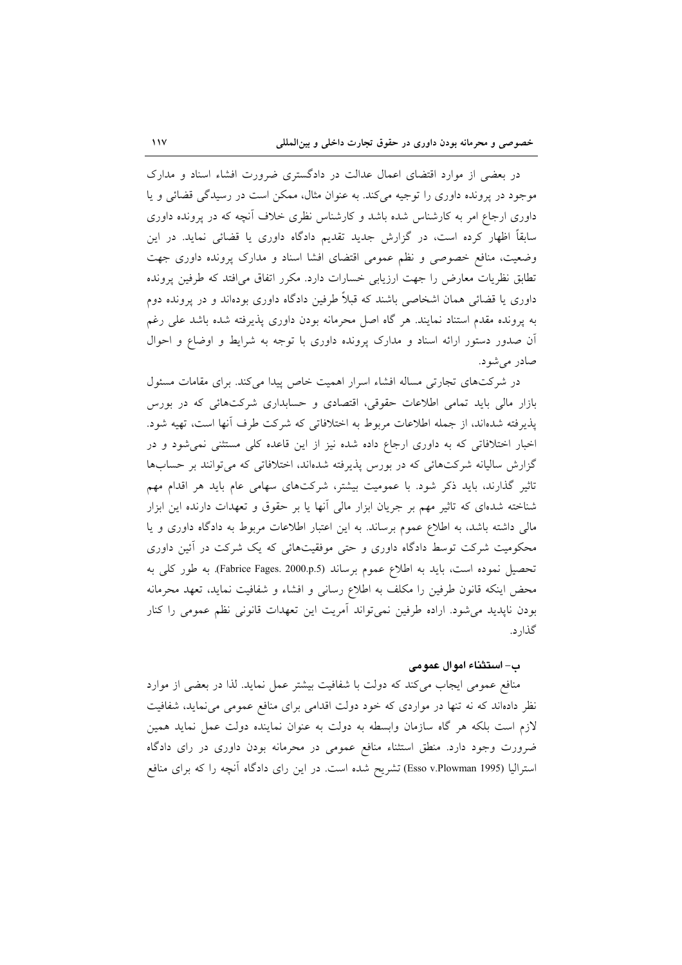در بعضی از موارد اقتضای اعمال عدالت در دادگستری ضرورت افشاء اسناد و مدارک موجود در پرونده داوری را توجیه میکند. به عنوان مثال، ممکن است در رسیدگی قضائی و یا داوری ارجاع امر به کارشناس شده باشد و کارشناس نظری خلاف آنچه که در پرونده داوری سابقاً اظهار کرده است، در گزارش جدید تقدیم دادگاه داوری یا قضائی نماید. در این وضعیت، منافع خصوصی و نظم عمومی اقتضای افشا اسناد و مدارک پرونده داوری جهت تطابق نظریات معارض را جهت ارزیابی خسارات دارد. مکرر اتفاق میافتد که طرفین پرونده داوری یا قضائی همان اشخاصی باشند که قبلاً طرفین دادگاه داوری بودهاند و در پرونده دوم به پرونده مقدم استناد نمایند. هر گاه اصل محرمانه بودن داوری پذیرفته شده باشد علی رغم أن صدور دستور ارائه اسناد و مدارک پرونده داوری با توجه به شرایط و اوضاع و احوال صادر می شود.

در شرکتهای تجارتی مساله افشاء اسرار اهمیت خاص پیدا میکند. برای مقامات مسئول بازار مالی باید تمامی اطلاعات حقوقی، اقتصادی و حسابداری شرکتهائی که در بورس پذیرفته شدهاند، از جمله اطلاعات مربوط به اختلافاتی که شرکت طرف آنها است، تهیه شود. اخبار اختلافاتی که به داوری ارجاع داده شده نیز از این قاعده کلی مستثنی نمی شود و در گزارش سالیانه شرکتهائی که در بورس پذیرفته شدهاند، اختلافاتی که می توانند بر حسابها تاثیر گذارند، باید ذکر شود. با عمومیت بیشتر، شرکتهای سهامی عام باید هر اقدام مهم شناخته شدهای که تاثیر مهم بر جریان ابزار مالی أنها یا بر حقوق و تعهدات دارنده این ابزار مالی داشته باشد، به اطلاع عموم برساند. به این اعتبار اطلاعات مربوط به دادگاه داوری و یا محکومیت شرکت توسط دادگاه داوری و حتی موفقیتهائی که یک شرکت در آئین داوری تحصیل نموده است، باید به اطلاع عموم برساند (Fabrice Fages. 2000.p.5). به طور کلی به محض اینکه قانون طرفین را مکلف به اطلاع رسانی و افشاء و شفافیت نماید، تعهد محرمانه بودن ناپدید می شود. اراده طرفین نمی تواند آمریت این تعهدات قانونی نظم عمومی را کنار گذار د.

#### ب – استثناء اموال عمومی

منافع عمومی ایجاب میکند که دولت با شفافیت بیشتر عمل نماید. لذا در بعضی از موارد نظر دادهاند که نه تنها در مواردی که خود دولت اقدامی برای منافع عمومی می نماید، شفافیت لازم است بلکه هر گاه سازمان وابسطه به دولت به عنوان نماینده دولت عمل نماید همین ضرورت وجود دارد. منطق استثناء منافع عمومی در محرمانه بودن داوری در رای دادگاه استرالیا (Esso v.Plowman 1995) تشریح شده است. در این رای دادگاه آنچه را که برای منافع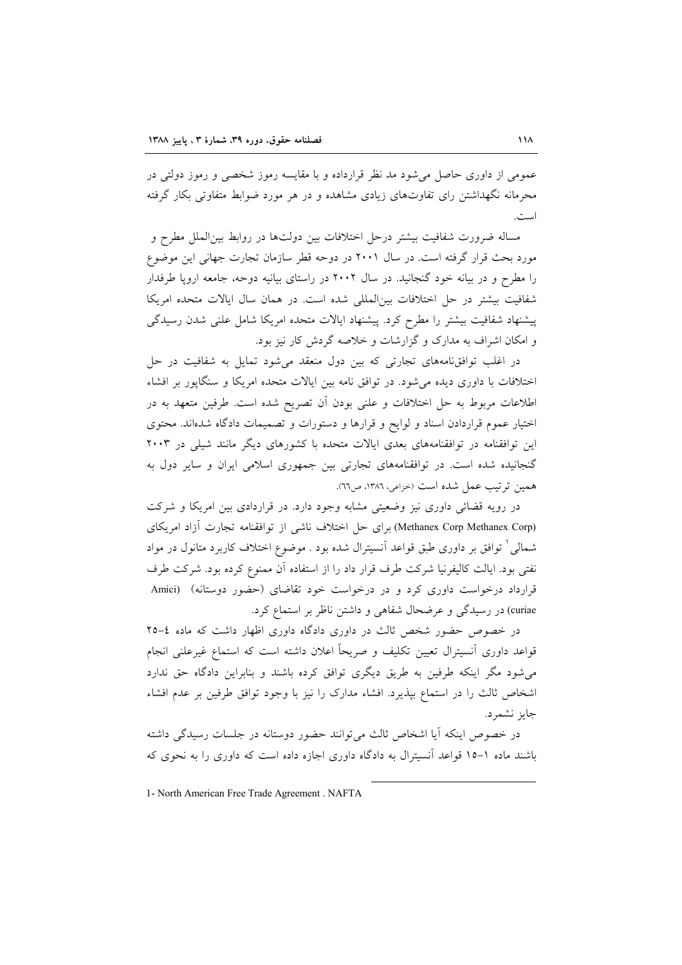عمومی از داوری حاصل می شود مد نظر قرارداده و با مقایسه رموز شخصی و رموز دولتی در محرمانه نگهداشتن رای تفاوتهای زیادی مشاهده و در هر مورد ضوابط متفاوتی بکار گرفته است.

مساله ضرورت شفافیت بیشتر درحل اختلافات بین دولتها در روابط بین الملل مطرح و مورد بحث قرار گرفته است. در سال ۲۰۰۱ در دوحه قطر سازمان تجارت جهانی این موضوع را مطرح و در بیانه خود گنجانید. در سال ۲۰۰۲ در راستای بیانیه دوحه، جامعه اروپا طرفدار شفافیت بیشتر در حل اختلافات بین المللی شده است. در همان سال ایالات متحده امریکا پیشنهاد شفافیت بیشتر را مطرح کرد. پیشنهاد ایالات متحده امریکا شامل علنی شدن رسیدگی و امکان اشراف به مدارک و گزارشات و خلاصه گردش کار نیز بود.

در اغلب توافق نامههای تجارتی که بین دول منعقد می شود تمایل به شفافیت در حل اختلافات با داوری دیده می شود. در توافق نامه بین ایالات متحده امریکا و سنگایور بر افشاء اطلاعات مربوط به حل اختلافات و علنی بودن أن تصریح شده است. طرفین متعهد به در اختیار عموم قراردادن اسناد و لوایح و قرارها و دستورات و تصمیمات دادگاه شدهاند. محتوی این توافقنامه در توافقنامههای بعدی ایالات متحده با کشورهای دیگر مانند شیلی در ۲۰۰۳ گنجانیده شده است. در توافقنامههای تجارتی بین جمهوری اسلامی ایران و سایر دول به همين ترتيب عمل شده است (خزاعي، ١٣٨٦، ص٦٦).

در رویه قضائی داوری نیز وضعیتی مشابه وجود دارد. در قراردادی بین امریکا و شرکت (Methanex Corp Methanex Corp) برای حل اختلاف ناشی از توافقنامه تجارت آزاد امریکای شمالی ٰ توافق بر داوری طبق قواعد آنسیترال شده بود . موضوع اختلاف کاربرد متانول در مواد نفتی بود. ایالت کالیفرنیا شرکت طرف قرار داد را از استفاده آن ممنوع کرده بود. شرکت طرف قرارداد درخواست داوری کرد و در درخواست خود تقاضای (حضور دوستانه) (Amici curiae) در رسیدگی و عرضحال شفاهی و داشتن ناظر بر استماع کرد.

در خصوص حضور شخص ثالث در داوری دادگاه داوری اظهار داشت که ماده ٤-٢٥ قواعد داوری آنسیترال تعیین تکلیف و صریحاً اعلان داشته است که استماع غیرعلنی انجام می شود مگر اینکه طرفین به طریق دیگری توافق کرده باشند و بنابراین دادگاه حق ندارد اشخاص ثالث را در استماع بپذیرد. افشاء مدارک را نیز با وجود توافق طرفین بر عدم افشاء جايز نشمرد.

در خصوص اینکه آیا اشخاص ثالث می توانند حضور دوستانه در جلسات رسیدگی داشته باشند ماده ۱-۱۵ قواعد آنسیترال به دادگاه داوری اجازه داده است که داوری را به نحوی که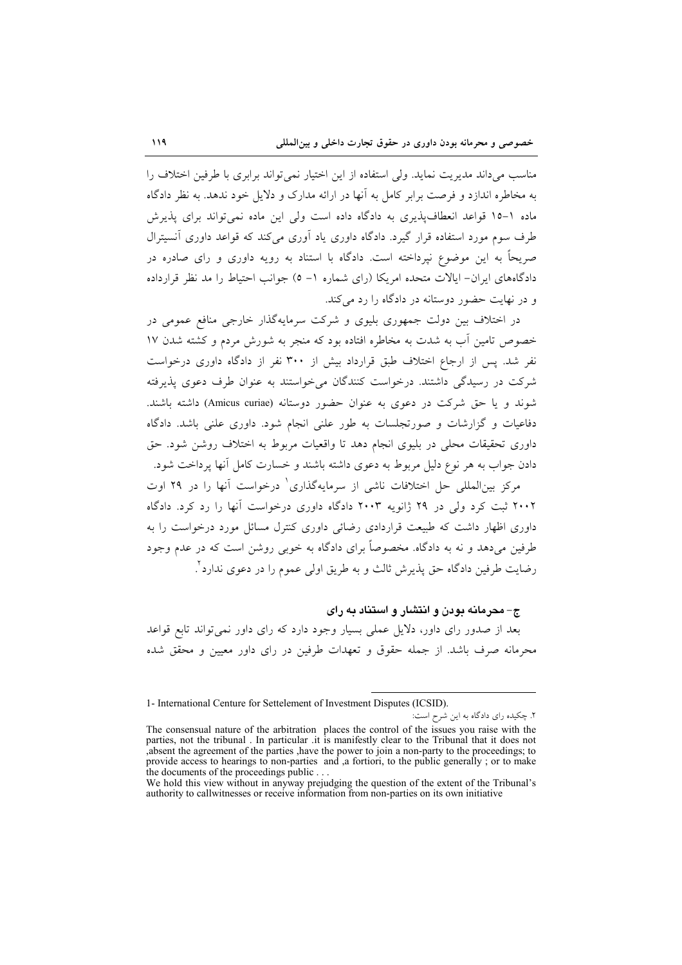مناسب می داند مدیریت نماید. ولی استفاده از این اختیار نمی تواند برابری با طرفین اختلاف را به مخاطره اندازد و فرصت برابر کامل به آنها در ارائه مدارک و دلایل خود ندهد. به نظر دادگاه ماده ١-١٥ قواعد انعطاف پذيرى به دادگاه داده است ولي اين ماده نمي تواند براى پذيرش طرف سوم مورد استفاده قرار گیرد. دادگاه داوری یاد آوری می کند که قواعد داوری آنسیترال صریحاً به این موضوع نیرداخته است. دادگاه با استناد به رویه داوری و رای صادره در دادگاههای ایران– ایالات متحده امریکا (رای شماره ۱– ٥) جوانب احتیاط را مد نظر قرارداده و در نهایت حضور دوستانه در دادگاه را رد می کند.

در اختلاف بین دولت جمهوری بلیوی و شرکت سرمایهگذار خارجی منافع عمومی در خصوص تامین آب به شدت به مخاطره افتاده بود که منجر به شورش مردم و کشته شدن ۱۷ نفر شد. پس از ارجاع اختلاف طبق قرارداد بیش از ۳۰۰ نفر از دادگاه داوری درخواست شرکت در رسیدگی داشتند. درخواست کنندگان می خواستند به عنوان طرف دعوی پذیرفته شوند و یا حق شرکت در دعوی به عنوان حضور دوستانه (Amicus curiae) داشته باشند. دفاعیات و گزارشات و صورتجلسات به طور علنی انجام شود. داوری علنی باشد. دادگاه داوری تحقیقات محلی در بلیوی انجام دهد تا واقعیات مربوط به اختلاف روشن شود. حق دادن جواب به هر نوع دلیل مربوط به دعوی داشته باشند و خسارت کامل آنها پرداخت شود.

مرکز بینالمللی حل اختلافات ناشی از سرمایهگذاری<sup>۱</sup> درخواست آنها را در ۲۹ اوت ۲۰۰۲ ثبت کرد ولی در ۲۹ ژانویه ۲۰۰۳ دادگاه داوری درخواست آنها را رد کرد. دادگاه داوری اظهار داشت که طبیعت قراردادی رضائی داوری کنترل مسائل مورد درخواست را به طرفین می دهد و نه به دادگاه. مخصوصاً برای دادگاه به خوبی روشن است که در عدم وجود رضايت طرفين دادگاه حق يذيرش ثالث و به طريق اولي عموم را در دعوي ندارد ْ.

ج-محرمانه بودن و انتشار و استناد به رای

بعد از صدور رای داور، دلایل عملی بسیار وجود دارد که رای داور نمی تواند تابع قواعد محرمانه صرف باشد. از جمله حقوق و تعهدات طرفین در رای داور معیین و محقق شده

<sup>1-</sup> International Centure for Settelement of Investment Disputes (ICSID).

۲. چکیده رای دادگاه به این شرح است: The consensual nature of the arbitration places the control of the issues you raise with the parties, not the tribunal. In particular it is manifestly clear to the Tribunal that it does not<br>absent the agreement of the parties, have the power to join a non-party to the proceedings; to provide access to hearings to non-parties and a fortiori, to the public generally; or to make the documents of the proceedings public.

We hold this view without in anyway prejudging the question of the extent of the Tribunal's authority to callwitnesses or receive information from non-parties on its own initiative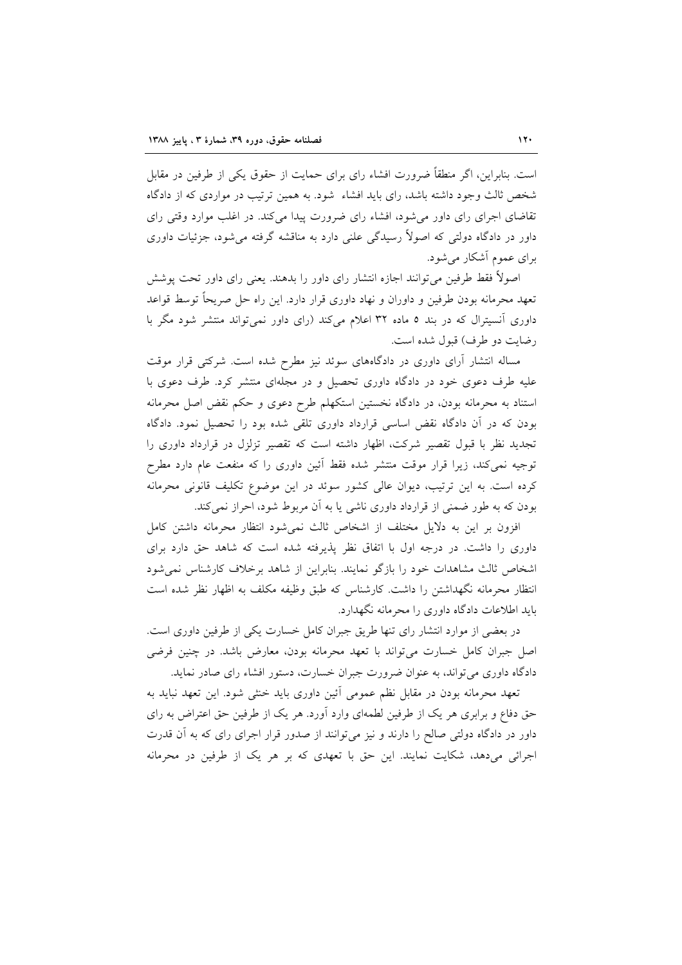است. بنابراین، اگر منطقاً ضرورت افشاء رای برای حمایت از حقوق یکی از طرفین در مقابل شخص ثالث وجود داشته باشد، رای باید افشاء ً شود. به همین ترتیب در مواردی که از دادگاه تقاضای اجرای رای داور میشود، افشاء رای ضرورت پیدا میکند. در اغلب موارد وقتی رای داور در دادگاه دولتی که اصولاً رسیدگی علنی دارد به مناقشه گرفته می شود، جزئیات داوری برای عموم آشکار می شود.

اصولاً فقط طرفین می توانند اجازه انتشار رای داور را بدهند. یعنی رای داور تحت پوشش تعهد محرمانه بودن طرفین و داوران و نهاد داوری قرار دارد. این راه حل صریحاً توسط قواعد داوری آنسیترال که در بند ٥ ماده ٣٢ اعلام میکند (رای داور نمی تواند منتشر شود مگر با رضايت دو طرف) قبول شده است.

مساله انتشار آرای داوری در دادگاههای سوئد نیز مطرح شده است. شرکتی قرار موقت علیه طرف دعوی خود در دادگاه داوری تحصیل و در مجلهای منتشر کرد. طرف دعوی با استناد به محرمانه بودن، در دادگاه نخستین استکهلم طرح دعوی و حکم نقض اصل محرمانه بودن که در آن دادگاه نقض اساسی قرارداد داوری تلقی شده بود را تحصیل نمود. دادگاه تجدید نظر با قبول تقصیر شرکت، اظهار داشته است که تقصیر تزلزل در قرارداد داوری را توجیه نمیکند، زیرا قرار موقت منتشر شده فقط آئین داوری را که منفعت عام دارد مطرح کرده است. به این ترتیب، دیوان عالی کشور سوئد در این موضوع تکلیف قانونی محرمانه بودن که به طور ضمنی از قرارداد داوری ناشی یا به آن مربوط شود، احراز نمیکند.

افزون بر این به دلایل مختلف از اشخاص ثالث نمی شود انتظار محرمانه داشتن کامل داوری را داشت. در درجه اول با اتفاق نظر پذیرفته شده است که شاهد حق دارد برای اشخاص ثالث مشاهدات خود را بازگو نمایند. بنابراین از شاهد برخلاف کارشناس نمیشود انتظار محرمانه نگهداشتن را داشت. کارشناس که طبق وظیفه مکلف به اظهار نظر شده است باید اطلاعات دادگاه داوری را محرمانه نگهدارد.

در بعضی از موارد انتشار رای تنها طریق جبران کامل خسارت یکی از طرفین داوری است. اصل جبران كامل خسارت مى تواند با تعهد محرمانه بودن، معارض باشد. در چنین فرضى دادگاه داوری می تواند، به عنوان ضرورت جبران خسارت، دستور افشاء رای صادر نماید.

تعهد محرمانه بودن در مقابل نظم عمومی آئین داوری باید خنثی شود. این تعهد نباید به حق دفاع و برابری هر یک از طرفین لطمهای وارد آورد. هر یک از طرفین حق اعتراض به رای داور در دادگاه دولتی صالح را دارند و نیز میتوانند از صدور قرار اجرای رای که به آن قدرت اجرائی میدهد، شکایت نمایند. این حق با تعهدی که بر هر یک از طرفین در محرمانه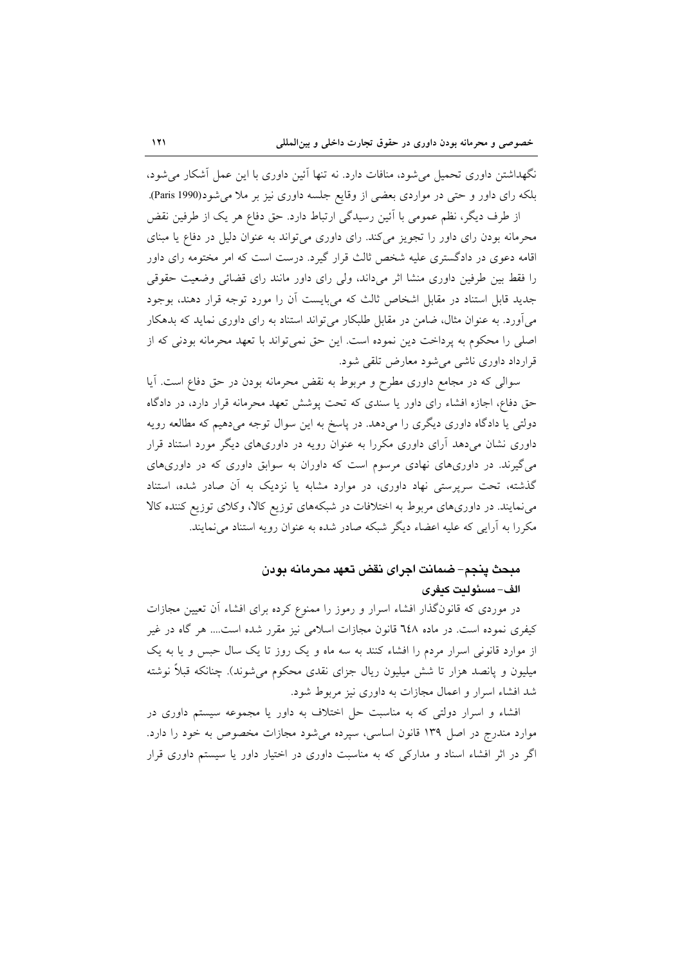نگهداشتن داوری تحمیل می شود، منافات دارد. نه تنها آئین داوری با این عمل آشکار می شود، بلکه رای داور و حتی در مواردی بعضی از وقایع جلسه داوری نیز بر ملا می شود(Paris 1990).

از طرف دیگر، نظم عمومی با آئین رسیدگی ارتباط دارد. حق دفاع هر یک از طرفین نقض محرمانه بودن رای داور را تجویز می کند. رای داوری می تواند به عنوان دلیل در دفاع یا مبنای اقامه دعوی در دادگستری علیه شخص ثالث قرار گیرد. درست است که امر مختومه رای داور را فقط بین طرفین داوری منشا اثر میداند، ولی رای داور مانند رای قضائی وضعیت حقوقی جدید قابل استناد در مقابل اشخاص ثالث که میبایست آن را مورد توجه قرار دهند، بوجود می آورد. به عنوان مثال، ضامن در مقابل طلبکار می تواند استناد به رای داوری نماید که بدهکار اصلي را محکوم به پرداخت دين نموده است. اين حق نمي تواند با تعهد محرمانه بودني که از قرارداد داوری ناشی می شود معارض تلقی شود.

سوالي كه در مجامع داوري مطرح و مربوط به نقض محرمانه بودن در حق دفاع است. آيا حق دفاع، اجازه افشاء رای داور یا سندی که تحت پوشش تعهد محرمانه قرار دارد، در دادگاه دولتی یا دادگاه داوری دیگری را میدهد. در پاسخ به این سوال توجه میدهیم که مطالعه رویه داوری نشان میدهد آرای داوری مکررا به عنوان رویه در داوریهای دیگر مورد استناد قرار میگیرند. در داوریهای نهادی مرسوم است که داوران به سوابق داوری که در داوریهای گذشته، تحت سرپرستی نهاد داوری، در موارد مشابه یا نزدیک به اَن صادر شده، استناد می نمایند. در داوریهای مربوط به اختلافات در شبکههای توزیع کالا، وکلای توزیع کننده کالا مکررا به آرایی که علیه اعضاء دیگر شبکه صادر شده به عنوان رویه استناد می نمایند.

## مبحث ينجم– ضمانت اجراي نقض تعهد محرمانه بودن الف– مسئولتت كتفرى

در موردی که قانونگذار افشاء اسرار و رموز را ممنوع کرده برای افشاء آن تعیین مجازات کیفری نموده است. در ماده ٦٤٨ قانون مجازات اسلامی نیز مقرر شده است.... هر گاه در غیر از موارد قانونی اسرار مردم را افشاء کنند به سه ماه و یک روز تا یک سال حبس و یا به یک میلیون و پانصد هزار تا شش میلیون ریال جزای نقدی محکوم می شوند). چنانکه قبلاً نوشته شد افشاء اسرار و اعمال مجازات به داوری نیز مربوط شود.

افشاء و اسرار دولتی که به مناسبت حل اختلاف به داور یا مجموعه سیستم داوری در موارد مندرج در اصل ۱۳۹ قانون اساسی، سیرده میشود مجازات مخصوص به خود را دارد. اگر در اثر افشاء اسناد و مدارکی که به مناسبت داوری در اختیار داور یا سیستم داوری قرار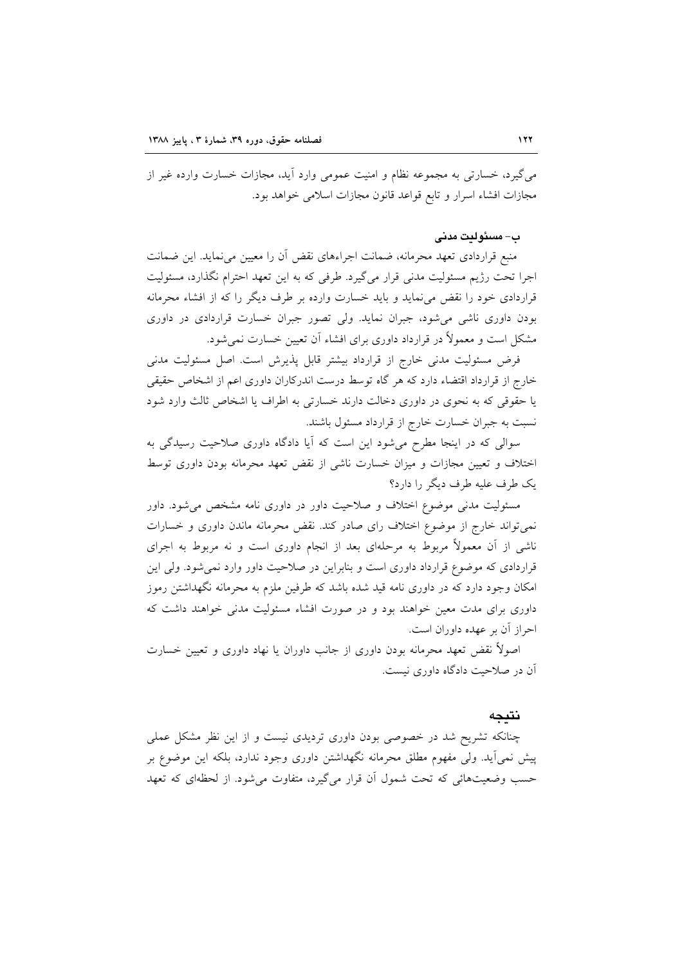می گیرد، خسارتی به مجموعه نظام و امنیت عمومی وارد آید، مجازات خسارت وارده غیر از مجازات افشاء اسرار وتابع قواعد قانون مجازات اسلامى خواهد بود.

#### ب-مسئولت مدنى

منبع قراردادی تعهد محرمانه، ضمانت اجراءهای نقض آن را معیین می نماید. این ضمانت اجرا تحت رژیم مسئولیت مدنی قرار میگیرد. طرفی که به این تعهد احترام نگذارد، مسئولیت قراردادی خود را نقض می نماید و باید خسارت وارده بر طرف دیگر را که از افشاء محرمانه بودن داوری ناشی میشود، جبران نماید. ولی تصور جبران خسارت قراردادی در داوری مشکل است و معمولاً در قرارداد داوری برای افشاء آن تعیین خسارت نمی شود.

فرض مسئولیت مدنی خارج از قرارداد بیشتر قابل پذیرش است. اصل مسئولیت مدنی خارج از قرارداد اقتضاء دارد که هر گاه توسط درست اندرکاران داوری اعم از اشخاص حقیقی یا حقوقی که به نحوی در داوری دخالت دارند خسارتی به اطراف یا اشخاص ثالث وارد شود نسبت به جبران خسارت خارج از قرارداد مسئول باشند.

سوالی که در اینجا مطرح میشود این است که آیا دادگاه داوری صلاحیت رسیدگی به اختلاف و تعیین مجازات و میزان خسارت ناشی از نقض تعهد محرمانه بودن داوری توسط یک طرف علیه طرف دیگر را دارد؟

مسئولیت مدنی موضوع اختلاف و صلاحیت داور در داوری نامه مشخص می شود. داور نمی تواند خارج از موضوع اختلاف رای صادر کند. نقض محرمانه ماندن داوری و خسارات ناشی از آن معمولاً مربوط به مرحلهای بعد از انجام داوری است و نه مربوط به اجرای قراردادی که موضوع قرارداد داوری است و بنابراین در صلاحیت داور وارد نمی شود. ولی این امکان وجود دارد که در داوری نامه قید شده باشد که طرفین ملزم به محرمانه نگهداشتن رموز داوری برای مدت معین خواهند بود و در صورت افشاء مسئولیت مدنی خواهند داشت که احراز آن بر عهده داوران است.

اصولاً نقض تعهد محرمانه بودن داوری از جانب داوران یا نهاد داوری و تعیین خسارت آن در صلاحیت دادگاه داوری نیست.

### نتىجە

چنانکه تشریح شد در خصوصی بودن داوری تردیدی نیست و از این نظر مشکل عملی پیش نمی[ید. ولی مفهوم مطلق محرمانه نگهداشتن داوری وجود ندارد، بلکه این موضوع بر حسب وضعیتهائی که تحت شمول آن قرار میگیرد، متفاوت میشود. از لحظهای که تعهد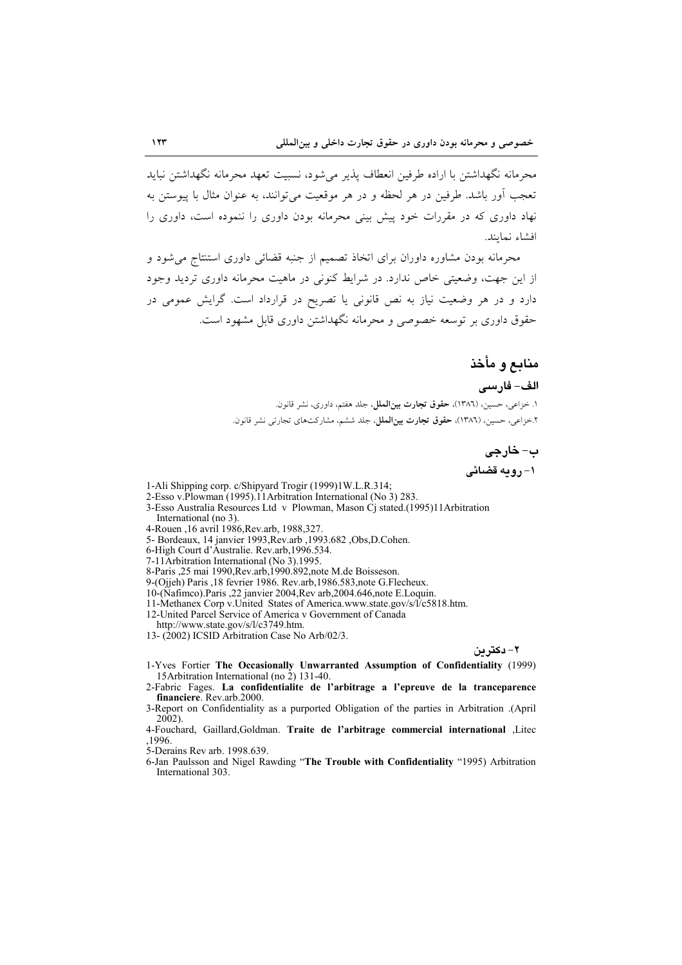محرمانه نگهداشتن با اراده طرفین انعطاف پذیر می شود، نسبیت تعهد محرمانه نگهداشتن نباید تعجب آور پاشد. طرفین در هر لحظه و در هر موقعیت می توانند، به عنوان مثال با پیوستن به نهاد داوری که در مقررات خود پیش بینی محرمانه بودن داوری را ننموده است، داوری را افشاء نمايند.

محرمانه بودن مشاوره داوران برای اتخاذ تصمیم از جنبه قضائی داوری استنتاج می شود و از این جهت، وضعیتی خاص ندارد. در شرایط کنونی در ماهیت محرمانه داوری تردید وجود دارد و در هر وضعیت نیاز به نص قانونی یا تصریح در قرارداد است. گرایش عمومی در حقوق داوری بر توسعه خصوصی و محرمانه نگهداشتن داوری قابل مشهود است.

### منابع و مأخذ

الف- فارسى ۱. خزاعی، حسین، (۱۳۸٦)، **حقوق تجارت بین|لمل**ل، جلد هفتم، داوری، نشر قانون. ۲.خزاعی، حسین، (۱۳۸٦)، **حقوق تجارت بین الملل**، جلد ششم، مشارکتهای تجارتی نشر قانون.

> ب- خارجي ۱- رومه قضائی

- 1-Ali Shipping corp. c/Shipyard Trogir (1999)1W.L.R.314;
- 2-Esso v.Plowman (1995).11 Arbitration International (No 3) 283.
- 3-Esso Australia Resources Ltd v Plowman, Mason Cj stated.(1995)11Arbitration International (no 3).
- 4-Rouen ,16 avril 1986, Rev. arb, 1988, 327.
- 5- Bordeaux, 14 janvier 1993, Rev.arb , 1993.682 , Obs, D. Cohen.
- 6-High Court d'Australie. Rev.arb.1996.534.
- 7-11 Arbitration International (No 3).1995.

8-Paris ,25 mai 1990, Rev.arb, 1990. 892, note M.de Boisseson.

9-(Ojjeh) Paris ,18 fevrier 1986. Rev.arb, 1986.583, note G.Flecheux.

10-(Nafimco). Paris ,22 janvier 2004, Rev arb, 2004.646, note E. Loquin.

11-Methanex Corp v.United States of America.www.state.gov/s/l/c5818.htm.

12-United Parcel Service of America v Government of Canada

http://www.state.gov/s/l/c3749.htm.

13-(2002) ICSID Arbitration Case No Arb/02/3.

٢ – دکتر دن

- 1-Yves Fortier The Occasionally Unwarranted Assumption of Confidentiality (1999) 15Arbitration International (no 2) 131-40.
- 2-Fabric Fages. La confidentialite de l'arbitrage a l'epreuve de la tranceparence financiere. Rev.arb.2000.
- 3-Report on Confidentiality as a purported Obligation of the parties in Arbitration .(April  $2002$ ).
- 4-Fouchard, Gaillard, Goldman. Traite de l'arbitrage commercial international ,Litec .1996.

5-Derains Rev arb. 1998.639.

6-Jan Paulsson and Nigel Rawding "The Trouble with Confidentiality "1995) Arbitration International 303.